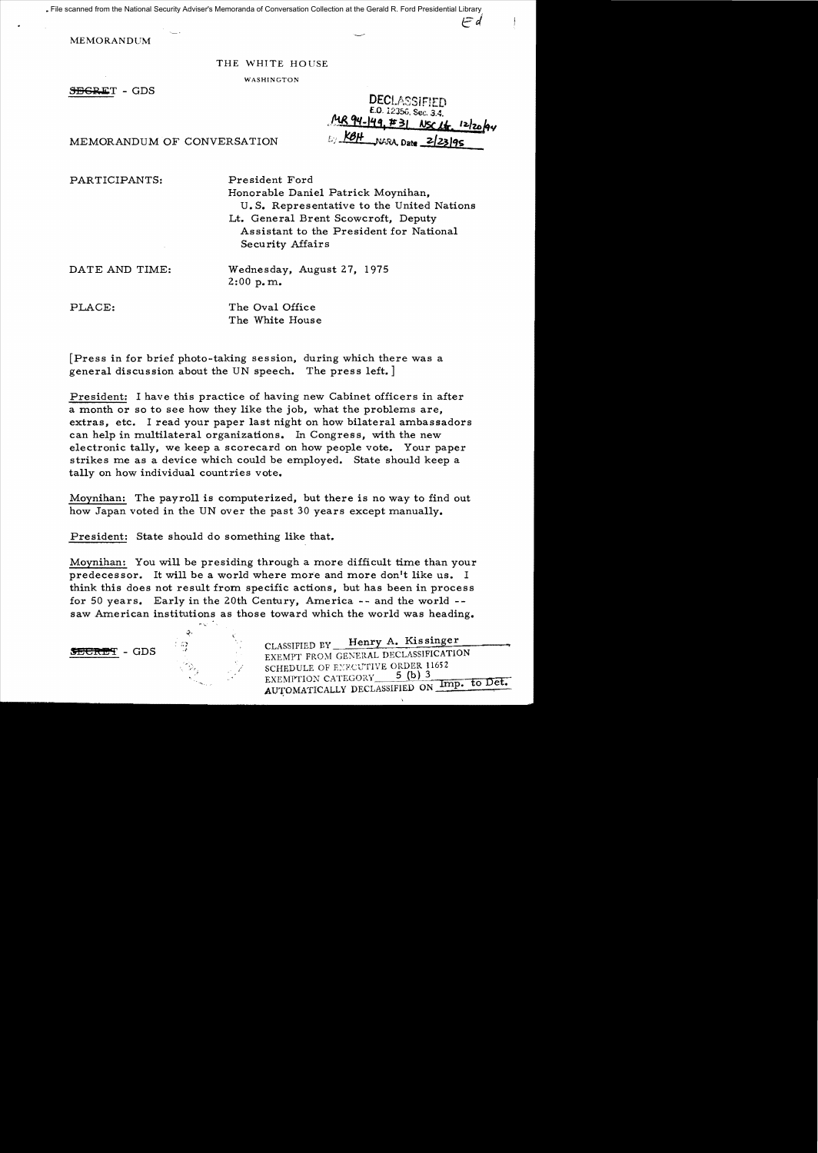File scanned from the National Security Adviser's Memoranda of Conversation Collection at the Gerald R. Ford Presidential Library

MEMORANDUM

## THE WHITE HOUSE

WASHINGTON

SEGRET - GDS

**DECLASSIE** E.O. 12356, Sec. 3.4. MR 94-149, #31 NSC 14, 12/20/94 E KBH NARA, Date 2/23/95

F d

MEMORANDUM OF CONVERSATION

PARTICIPANTS:

President Ford

Honorable Daniel Patrick Moynihan, U. S. Representative to the United Nations Lt. General Brent Scowcroft, Deputy Assistant to the President for National Security Affairs

DATE AND TIME:

Wednesday, August 27, 1975  $2:00$  p.m.

PLACE:

The Oval Office The White House

[Press in for brief photo-taking session, during which there was a general discussion about the UN speech. The press left.]

President: I have this practice of having new Cabinet officers in after a month or so to see how they like the job, what the problems are, extras, etc. I read your paper last night on how bilateral ambassadors can help in multilateral organizations. In Congress, with the new electronic tally, we keep a scorecard on how people vote. Your paper strikes me as a device which could be employed. State should keep a tally on how individual countries vote.

Moynihan: The payroll is computerized, but there is no way to find out how Japan voted in the UN over the past 30 years except manually.

President: State should do something like that.

:.} .1

Moynihan: You will be presiding through a more difficult time than your predecessor. It will be a world where more and more don't like us. I think this does not result from specific actions, but has been in process for 50 years. Early in the 20th Century, America -- and the world -saw American institutions as those toward which the world was heading.



CLASSIFIED BY Henry A. Kissinger EXEMPT FROM GENERAL DECLASSIFICATION SCHEDULE OF EXECUTIVE ORDER 11652 EXEMPTION CATEGORY 3 (D) 3<br>AUTOMATICALLY DECLASSIFIED ON Imp. to Det.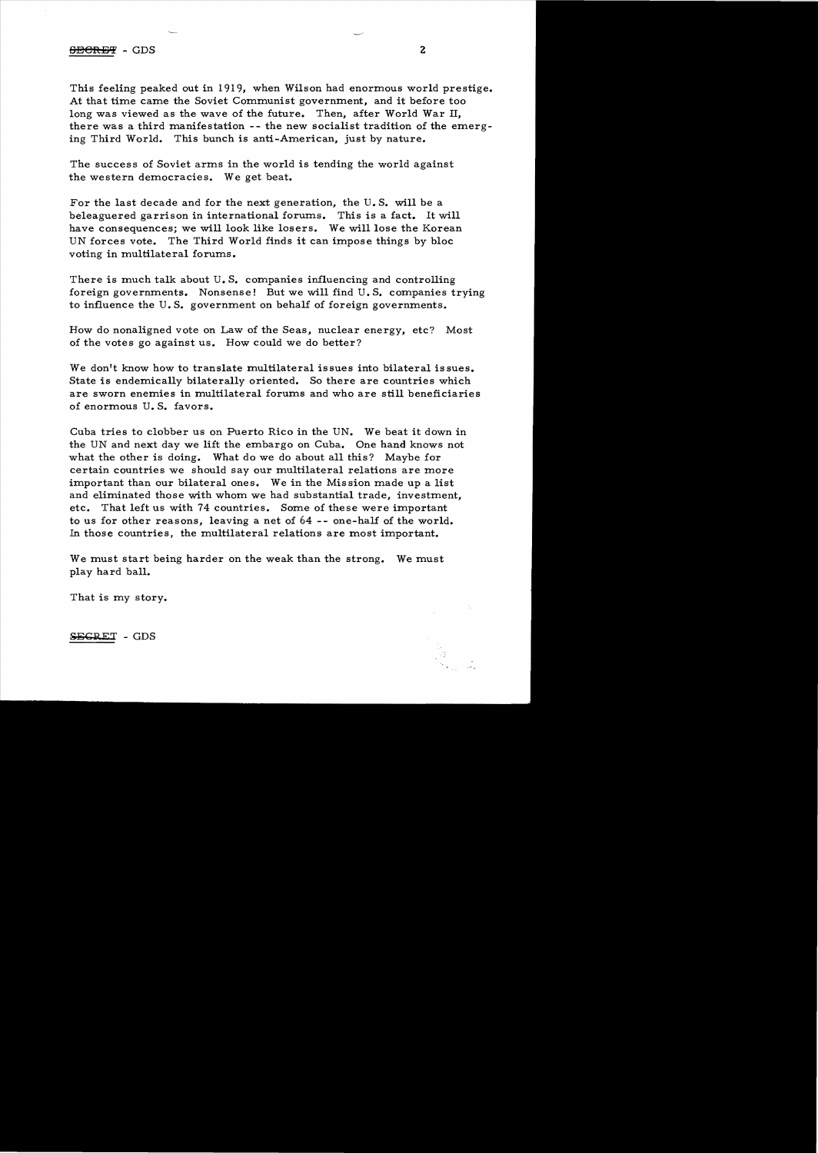## SECRET - GDS 2

This feeling peaked out in 1919, when Wilson had enormous world prestige. At that time came the Soviet Communist government, and it before too long was viewed as the wave of the future. Then, after World War II, there was a third manifestation -- the new socialist tradition of the emerging Third World. This bunch is anti-American, just by nature.

The success of Soviet arms in the world is tending the world against the western democracies. We get beat.

For the last decade and for the next generation, the U. S. will be a beleaguered garrison in international forums. This is a fact. It will have consequences; we will look like losers. We will lose the Korean UN forces vote. The Third World finds it can impose things by bloc voting in multilateral forums.

There is much talk about  $U$ . S. companies influencing and controlling foreign governments. Nonsense! But we will find U. S. companies trying to influence the U. S. government on behalf of foreign governments.

How do nonaligned vote on Law of the Seas, nuclear energy, etc? Most of the votes go against us. How could we do better?

We don't know how to translate multilateral issues into bilateral issues. State is endemically bilaterally oriented. So there are countries which are sworn enemies in multilateral forums and who are still beneficiaries of enormous U. S. favors.

Cuba tries to clobber us on Puerto Rico in the UN. We beat it down in the UN and next day we lift the embargo on Cuba. One hand knows not what the other is doing. What do we do about all this? Maybe for certain countries we should say our multilateral relations are more important than our bilateral ones. We in the Mission made up a list and eliminated those with whom we had substantial trade, investment, etc. That left us with 74 countries. Some of these were important to us for other reasons, leaving a net of 64 -- one-half of the world. In those countries, the multilateral relations are most important.

We must start being harder on the weak than the strong. We must play hard ball.

That is my story.

SEGRET - GDS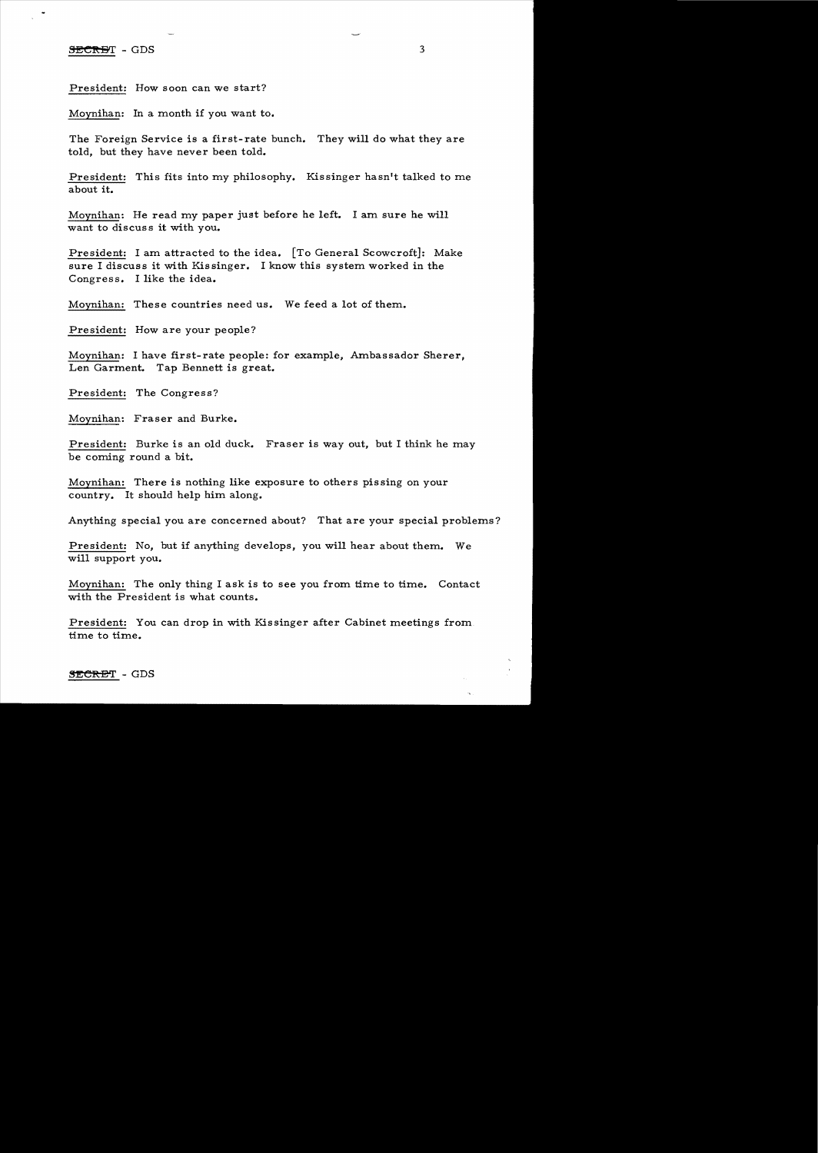## SECRET - GDS

President: How soon can we start?

Moynihan: In a month if you want to.

The Foreign Service is a first- rate bunch. They will do what they are told, but they have never been told.

President: This fits into my philosophy. Kissinger hasn't talked to me about it.

Moynihan: He read my paper just before he left. I am sure he will want to discuss it with you.

President: I am attracted to the idea. [To General Scowcroft]: Make sure I discuss it with Kissinger. I know this system worked in the Congress. I like the idea.

Moynihan: These countries need us. We feed a lot of them.

President: How are your people?

Moynihan: I have first-rate people: for example, Ambassador Sherer, Len Garment. Tap Bennett is great.

President: The Congress?

Moynihan: Fraser and Burke.

President: Burke is an old duck. Fraser is way out, but I think he may be coming round a bit.

Moynihan: There is nothing like exposure to others pissing on your country. It should help him along.

Anything special you are concerned about? That are your special problems?

President: No, but if anything develops, you will hear about them. We will support you.

Moynihan: The only thing I ask is to see you from time to time. Contact with the President is what counts.

President: You can drop in with Kissinger after Cabinet meetings from time to time.

SECRET - GDS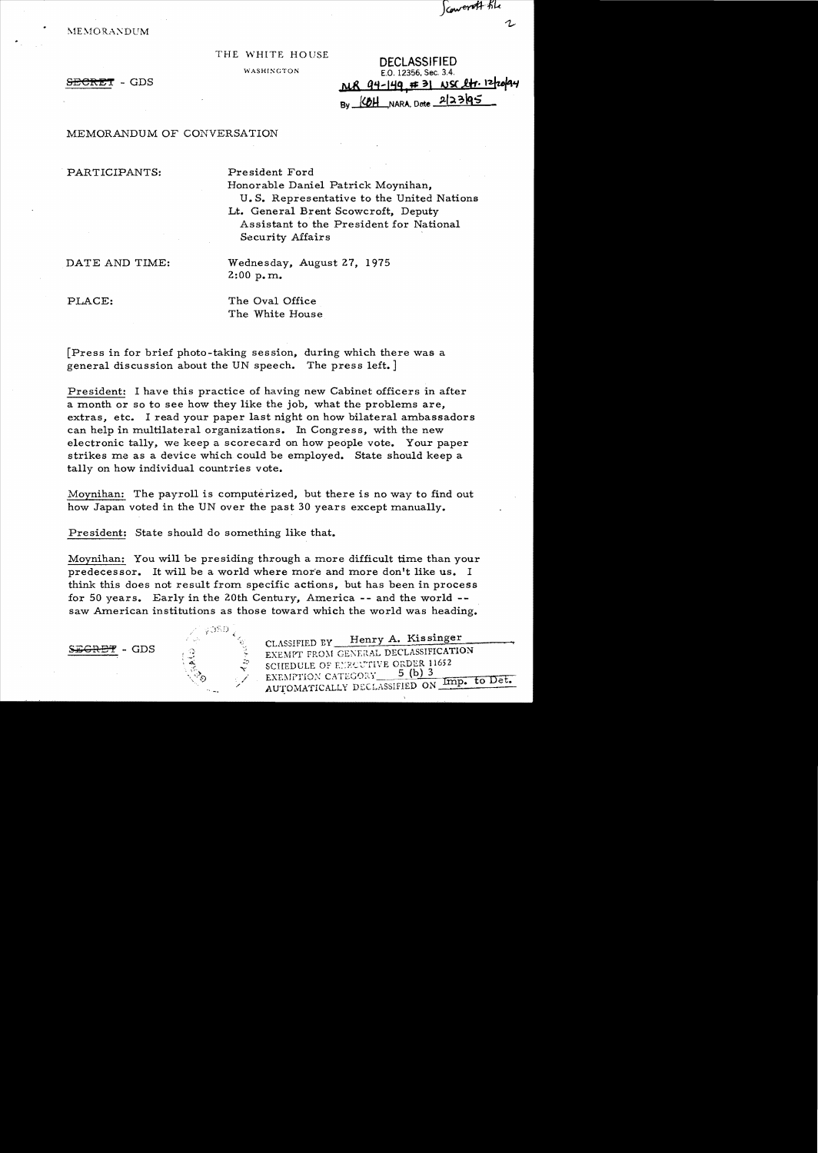Scowerett tile

**MEMORANDUM** 

THE WHITE HOUSE **DECLASSIFIED**<br>WASHINGTON **DECLASSIFIED** E.O. 12356, Sec. 3.4. SECRET - GDS **NR 94-149 # 31 NSC 2tr. 12/20/44** By (OH NARA, Date 2/23/95

MEMORANDUM OF CONVERSATION

PARTICIPANTS: President Ford

Honorable Daniel Patrick Moynihan, U. S. Representative to the United Nations Lt. General Brent Scowcroft, Deputy Assistant to the President for National Security Affairs

DATE AND TIME: Wednesday, August 27, 1975  $2:00$  p.m.

PLACE: The Oval Office The White House

[Press in for brief photo-taking session, during which there was a general discussion about the UN speech. The press left.]

President: I have this practice of having new Cabinet officers in after a month or so to see how they like the job, what the problems are, extras, etc. I read your paper last night on how bilateral ambassadors can help in multilateral organizations. In Congress, with the new electronic tally, we keep a scorecard on how people vote. Your paper strikes me as a device which could be employed. State should keep a tally on how individual countries vote.

Moynihan: The payroll is computerized, but there is no way to find out how Japan voted in the UN over the past 30 years except manually.

President: State should do something like that.

 $\cdot$  ,  $\cdot$  ,  $\cdot$ *r* 

Moynihan: You will be presiding through a more difficult time than your predecessor. It will be a world where more and more don't like us. I think this does not result from specific actions, but has been in process for 50 years. Early in the 20th Century, America  $-$ - and the world  $-$ saw American institutions as those toward which the world was heading.



CLASSIFIED BY Henry A. Kissinger  $\mathbb{F}_{\bullet}$  - GDS  $\circ$   $\mathbb{F}_{\bullet}$  EXEMPT FROM GENERAL DECLASSIFICATION SCHEDULE OF EYECUTIVE ORDER 11652 EXF.:-'fl'TlOX CATEGt..nY 5 (l':b"..1.)~3\_'rrn=:;:;::-~to~D~e"Ft. AUTO;\IATICALLY DECLASSIFIED ON\_.-::..P\_o\_-- " -.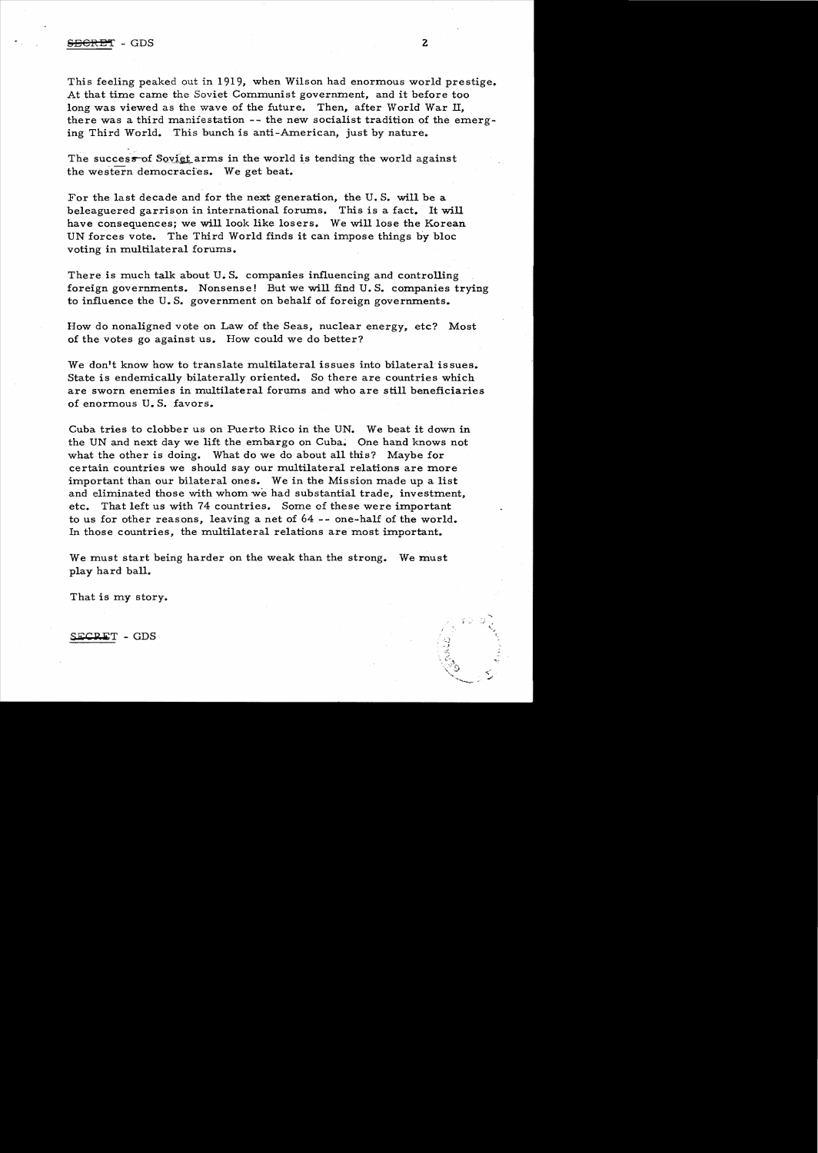## $S_{\rm EGRET}$  - GDS 2

This feeling peaked out in 1919, when Wilson had enormous world prestige. At that time came the Soviet Communist government, and it before too long was viewed as the wave of the future. Then, after World War II, there was a third manifestation  $-$ - the new socialist tradition of the emerging Third World. This bunch is anti-American, just by nature.

The success of Soviet arms in the world is tending the world against the western democracies.. We get beat.

For the last decade and for the next generation, the U. S. will be a beleaguered garrison in international forums. This is a fact. It will have consequences; we will look like losers. We will lose the Korean UN forces vote. The Third World finds it can impose things by bloc voting in multilateral forums.

There is much talk about U. S. companies influencing and controlling foreign governments. Nonsense! But we will find U. S. companies trying to influence the U. S. government on behalf of foreign governments.

How do nonaligned vote on Law of the Seas, nuclear energy, etc? Most of the votes go against us. How could we do better?

We don't know how to translate multilateral issues into bilateral issues. State is endemically bilaterally oriented. So there are countries which are sworn enemies in multilateral forums and who are still beneficiaries of enormous U. S. favors.

Cuba tries to clobber us on Puerto Rico in the UN. We beat it down in the UN and next day we lift the embargo on Cuba. One hand knows not what the other is doing. What do we do about all this? Maybe for certain countries we should say our multilateral relations are more important than our bilateral ones. We in the Mission made up a list and eliminated those with whom we had substantial trade, investment, etc. That left us with 74 countries. Some of these were important to us for other reasons, leaving a net of  $64$  -- one-half of the world. In those countries, the multilateral relations are most important.

We must start being harder on the weak than the strong. We must play hard ball.

That is my story.

SECRET - GDS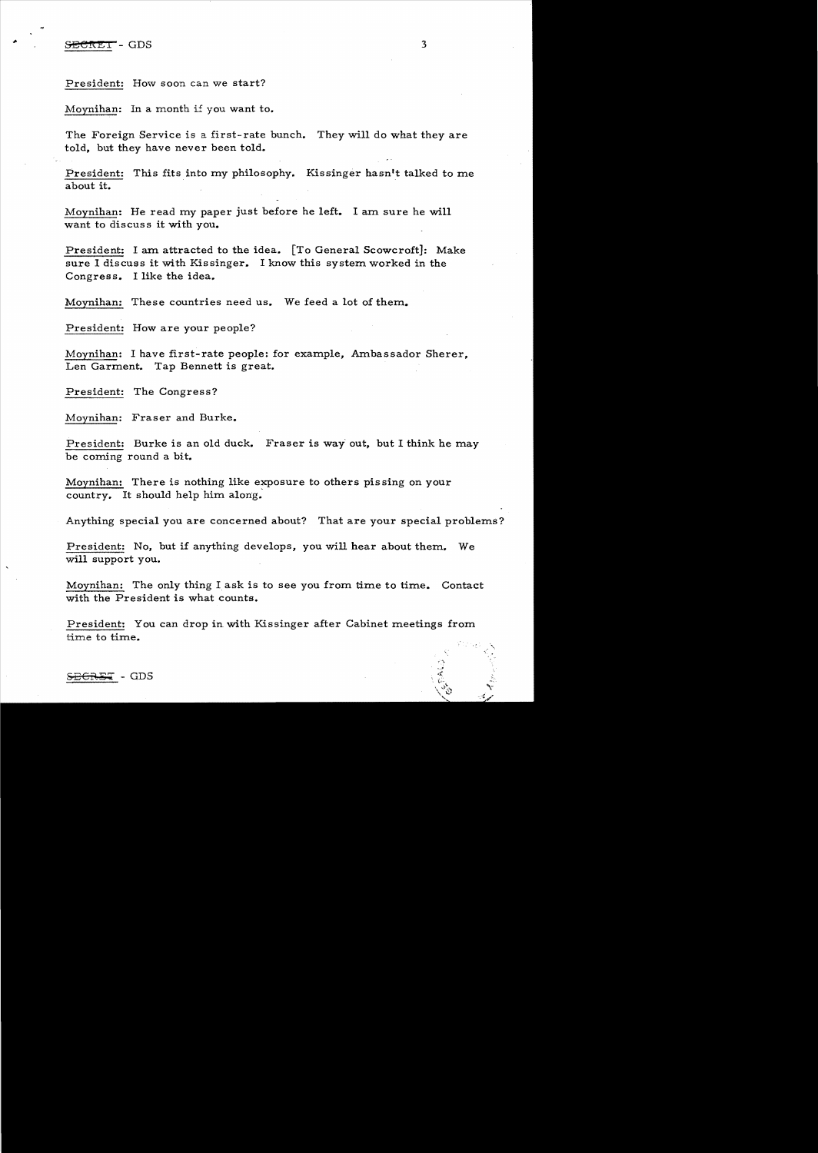President: How soon can we start?

Moynihan: In a month i£ you want to.

The Foreign Service is a first-rate bunch. They will do what they are told, but they have never been told.

President: This fits into my philosophy. Kissinger hasn't talked to me about it.

Moynihan: He read my paper just before he left. I am sure he will want to discuss it with you.

President: I am attracted to the idea. [To General Scowcroft]: Make sure I discuss it with Kissinger. I know this system worked in the Congress. I like the idea.

Moynihan: These countries need us. We feed a lot of them..

President: How are your people?

Moynihan: I have first-rate people: for example, Ambassador Sherer. Len Garment. Tap Bennett is great.

President: The Congress?

Moynihan: Fraser and Burke.

President: Burke is an old duck. Fraser is way out, but I think he may be coming round a bit.

Moynihan: There is nothing like exposure to others pissing on your country. It should help him along.

Anything special you are concerned about? That are your special problems?

President: No, but if anything develops, you will hear about them. We will support you.

Moynihan: The only thing I ask is to see you from time to time. Contact with the President is what counts.

President: You can drop in with Kissinger after Cabinet meetings from. time to time.

 $\overline{\text{CBET}}$  - GDS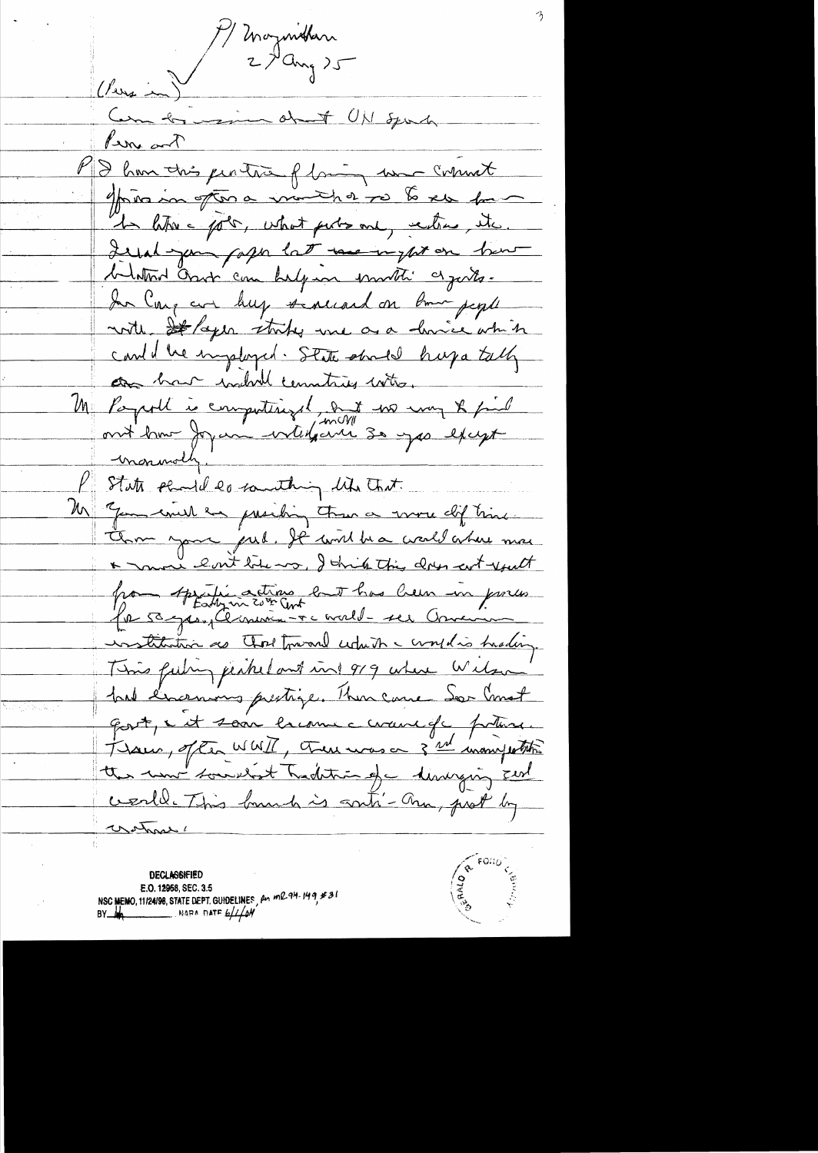Magnithan  $\sqrt{2}u_{1}$ Com to min det UN Sport Per ant MD hom this pertite flowing was comment privain for a minished to be the form In liter = polo, what perhouse, rections, itc. Legal your fagor lat me upton how belation Ossot can belgion immetic as justs. In Care are buy senecand on bom people with st /aper storty and as a derive which card d'une implayed. State stroke huja tally are har indert countries who, Me Papell à computingel, aut no mon x priet monumolly ! State phone de countring like that Un "Jam couch en presiding tous a vous dif time. The your put. It will be a wall where mee \* more lost tobe or, I think this does cut youth par Appelie actions en t has been in proces institution as That forward which & complies hading. Time futing perkel and ring 919 where Witson had l'incentives prestige. Then came Son Comet gost, i it sain lacoune cercure de poture. Trous, often WWII, there was on 3 nd inomywhite the most sounded Tradition of a disvision and werld. This bunch is sonti- am, prot by motras!

**DECLASSIFIED** E.O. 12958, SEC. 3.5 NSC MEMO, 11/24/98, STATE DEPT. GUIDELINES,  $\mu_1$  ml 94.149, #31 NARA DATE  $6/1/6M$ 

 $\sqrt{\frac{8}{5}}$  FOND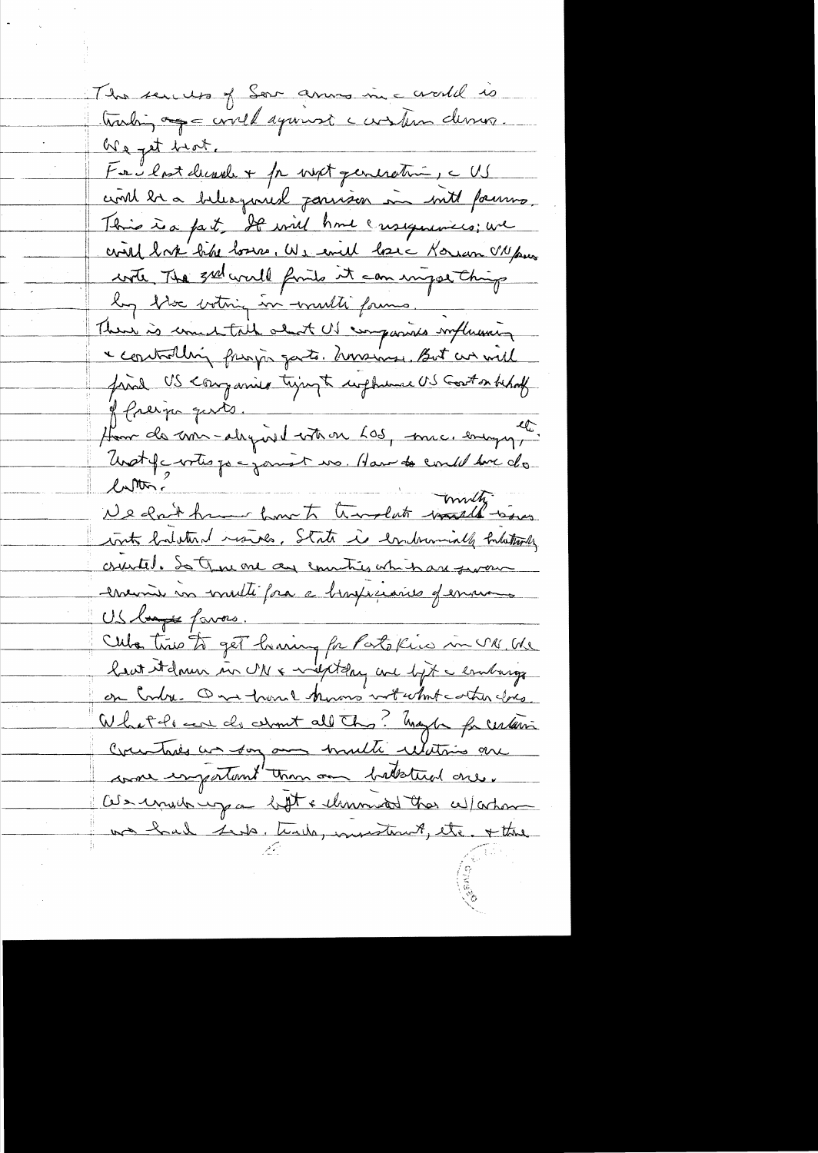The sends of Ser anno in a world is troubin age could against carsten dernes. We get hart. Facilent decrete + pr next generative, c US could be a beleagured parison in with pains This is a fact. It will have ensequences; we civil book bike losses, We evil have Korean VN pus write The 3rd world finite it can impose thing log blo votrig in wulti forms. There is comental about US compariso myllissing a controlling pringer garts. however, But an well fried US companies trying to implement US Goston behalf of freign quits. Hom de me alegaid votron 605, mic, engage Unst factois par jouist un Hau de could sur de We don't have how to travalate watch with with habitual mondes, State is embrancially fortationly cruite, de True one au commission in an from encime in multifra a braxiscaries of environs US l<del>angée</del> favors. Cuba time to get having for Patokins in UN. We least it down in UN & might day are lyt a embarge on Contre One trance know with the gres What he can do about all this! happy for unterin Crew tries un son au multi relatives are was important than on batstud one. Of a unit up a ligt & themself that will achouse we had seek, teach, investiment, etc. + the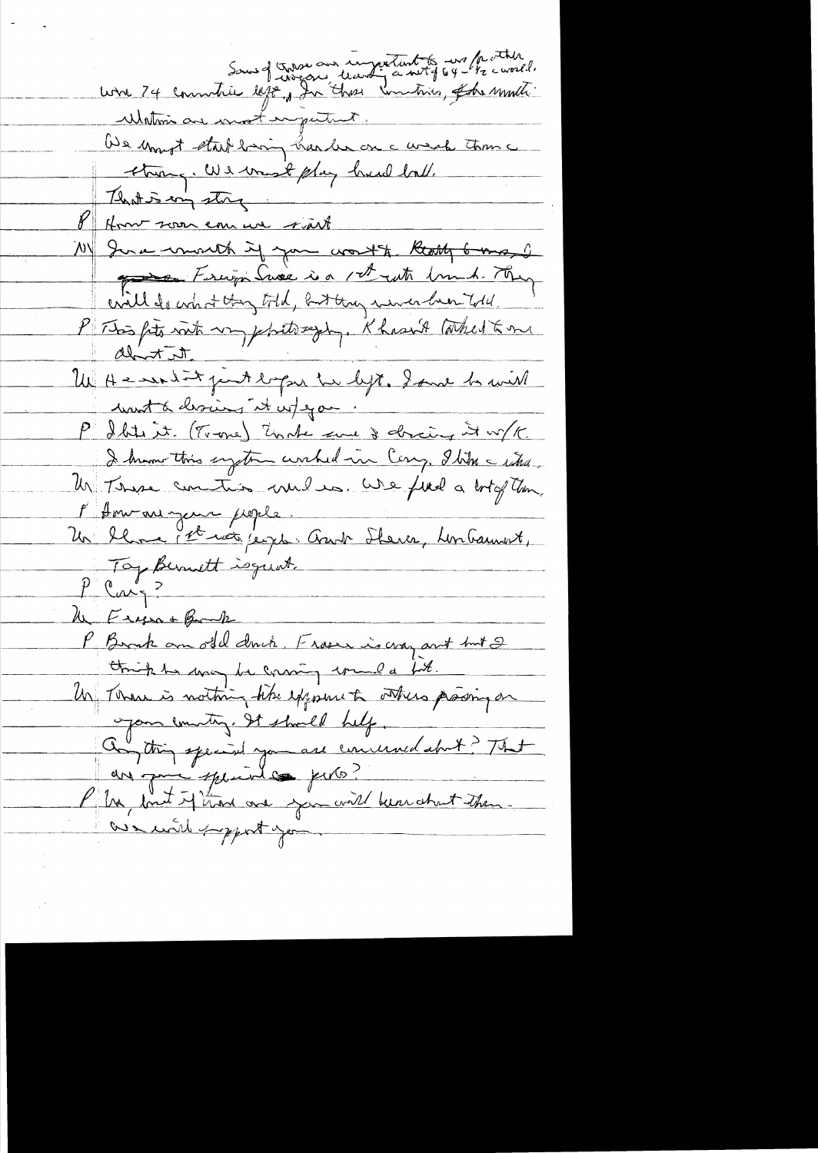Lorre 74 communice defense au composition à met fait de courte Within are most empertunt. We must start baring harder on a weak toms strong. We want play hand ball. 11) Ina world if you won't keep 6 may 2 Frigi Suse is set ut hund. They will do what they told, but they were been told. P This fits with my philosophy. Khasn't Whet & me<br>about it.<br>Un He won't the looking into what we be with mont à choies it infegan. P I Stil it. (Trone) Under sure & drainy it w/K. I know this system worked in Cong. Ilike - what.<br>Un Those continuo and is. We find a lot of them. l'American gene pople. Un blanc let vote jege. Aust Steier, Linbauwert, Top Bernett isgust.  $P$  carge le Eugent Bank P. Brak am old druk. Fraser is way and but 2 think he was be coming would bit. Un There is nothing the exposure to others proving on your country. It should help. Constin special you are concerned about ? That are que speciales perto? Plus, but if than one you will been about them. are with proport you